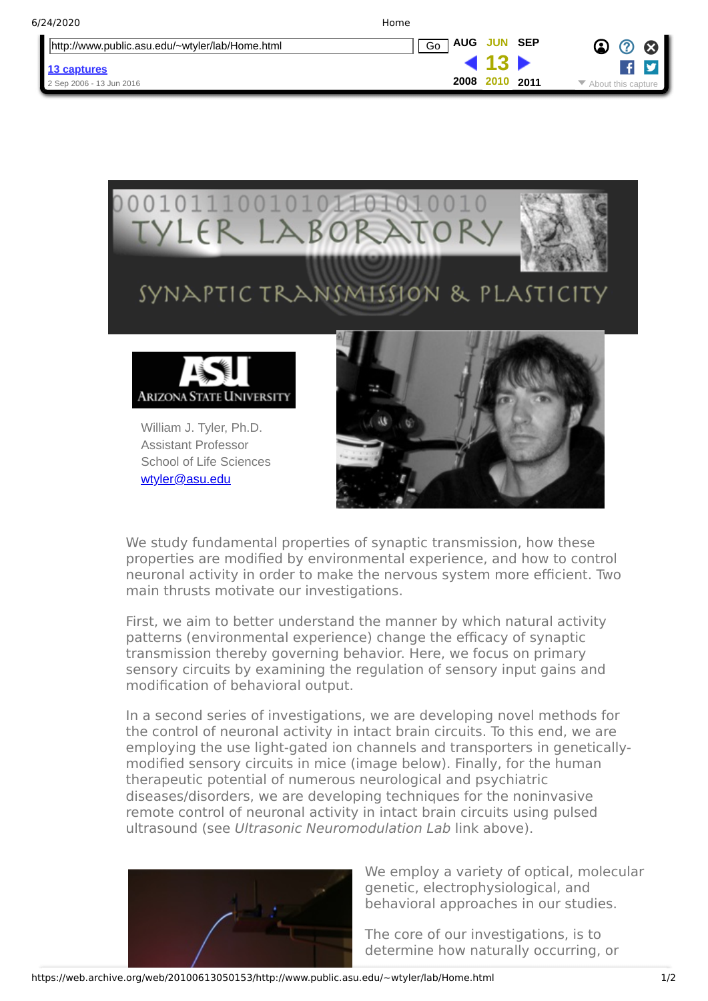| http://www.public.asu.edu/~wtyler/lab/Home.html | <b>SEP</b><br><b>AUG</b><br><b>JUN</b><br>Go | $\alpha$ |
|-------------------------------------------------|----------------------------------------------|----------|
| 13 captures                                     |                                              |          |
| 2 Sep 2006 - 13 Jun 2016                        | 2008<br>2010<br>2011                         |          |



We study fundamental properties of synaptic transmission, how these properties are modified by environmental experience, and how to control neuronal activity in order to make the nervous system more efficient. Two main thrusts motivate our investigations.

First, we aim to better understand the manner by which natural activity patterns (environmental experience) change the efficacy of synaptic transmission thereby governing behavior. Here, we focus on primary sensory circuits by examining the regulation of sensory input gains and modification of behavioral output.

In a second series of investigations, we are developing novel methods for the control of neuronal activity in intact brain circuits. To this end, we are employing the use light-gated ion channels and transporters in geneticallymodified sensory circuits in mice (image below). Finally, for the human therapeutic potential of numerous neurological and psychiatric diseases/disorders, we are developing techniques for the noninvasive remote control of neuronal activity in intact brain circuits using pulsed ultrasound (see Ultrasonic Neuromodulation Lab link above).



We employ a variety of optical, molecular genetic, electrophysiological, and behavioral approaches in our studies.

The core of our investigations, is to determine how naturally occurring, or